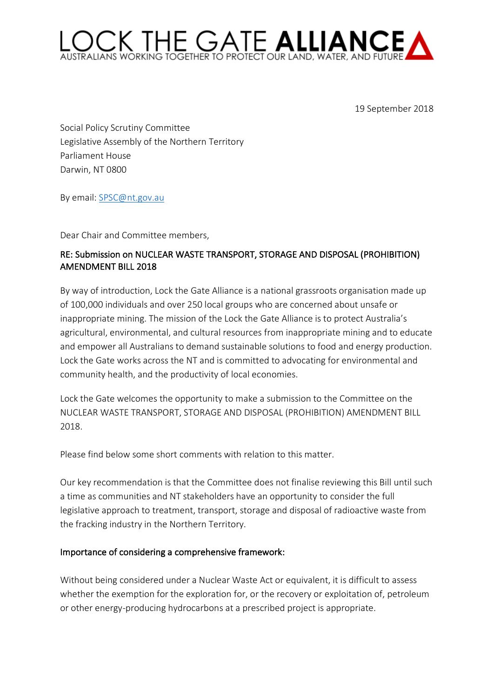## C THE GATE ALLIANCE

19 September 2018

Social Policy Scrutiny Committee Legislative Assembly of the Northern Territory Parliament House Darwin, NT 0800

By email: SPSC@nt.gov.au

Dear Chair and Committee members,

## RE: Submission on NUCLEAR WASTE TRANSPORT, STORAGE AND DISPOSAL (PROHIBITION) AMENDMENT BILL 2018

By way of introduction, Lock the Gate Alliance is a national grassroots organisation made up of 100,000 individuals and over 250 local groups who are concerned about unsafe or inappropriate mining. The mission of the Lock the Gate Alliance is to protect Australia's agricultural, environmental, and cultural resources from inappropriate mining and to educate and empower all Australians to demand sustainable solutions to food and energy production. Lock the Gate works across the NT and is committed to advocating for environmental and community health, and the productivity of local economies.

Lock the Gate welcomes the opportunity to make a submission to the Committee on the NUCLEAR WASTE TRANSPORT, STORAGE AND DISPOSAL (PROHIBITION) AMENDMENT BILL 2018.

Please find below some short comments with relation to this matter.

Our key recommendation is that the Committee does not finalise reviewing this Bill until such a time as communities and NT stakeholders have an opportunity to consider the full legislative approach to treatment, transport, storage and disposal of radioactive waste from the fracking industry in the Northern Territory.

## Importance of considering a comprehensive framework:

Without being considered under a Nuclear Waste Act or equivalent, it is difficult to assess whether the exemption for the exploration for, or the recovery or exploitation of, petroleum or other energy-producing hydrocarbons at a prescribed project is appropriate.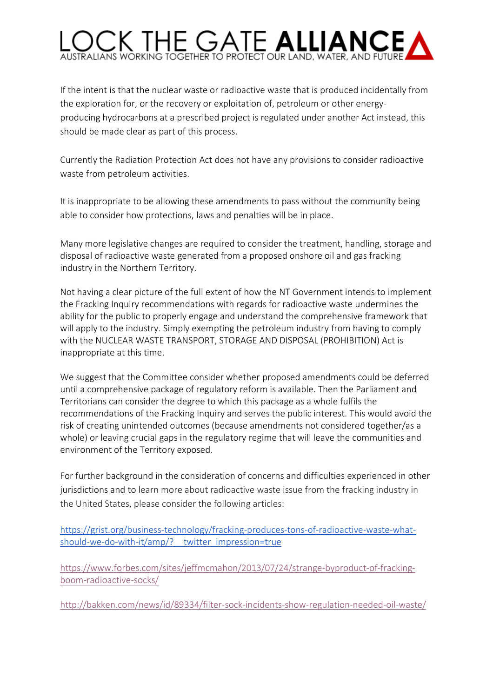## ORKING TOGETHER TO PROTECT OUR LAND, WATER, AND

If the intent is that the nuclear waste or radioactive waste that is produced incidentally from the exploration for, or the recovery or exploitation of, petroleum or other energyproducing hydrocarbons at a prescribed project is regulated under another Act instead, this should be made clear as part of this process.

Currently the Radiation Protection Act does not have any provisions to consider radioactive waste from petroleum activities.

It is inappropriate to be allowing these amendments to pass without the community being able to consider how protections, laws and penalties will be in place.

Many more legislative changes are required to consider the treatment, handling, storage and disposal of radioactive waste generated from a proposed onshore oil and gas fracking industry in the Northern Territory.

Not having a clear picture of the full extent of how the NT Government intends to implement the Fracking Inquiry recommendations with regards for radioactive waste undermines the ability for the public to properly engage and understand the comprehensive framework that will apply to the industry. Simply exempting the petroleum industry from having to comply with the NUCLEAR WASTE TRANSPORT, STORAGE AND DISPOSAL (PROHIBITION) Act is inappropriate at this time.

We suggest that the Committee consider whether proposed amendments could be deferred until a comprehensive package of regulatory reform is available. Then the Parliament and Territorians can consider the degree to which this package as a whole fulfils the recommendations of the Fracking Inquiry and serves the public interest. This would avoid the risk of creating unintended outcomes (because amendments not considered together/as a whole) or leaving crucial gaps in the regulatory regime that will leave the communities and environment of the Territory exposed.

For further background in the consideration of concerns and difficulties experienced in other jurisdictions and to learn more about radioactive waste issue from the fracking industry in the United States, please consider the following articles:

https://grist.org/business-technology/fracking-produces-tons-of-radioactive-waste-whatshould-we-do-with-it/amp/? twitter impression=true

https://www.forbes.com/sites/jeffmcmahon/2013/07/24/strange-byproduct-of-frackingboom-radioactive-socks/

http://bakken.com/news/id/89334/filter-sock-incidents-show-regulation-needed-oil-waste/